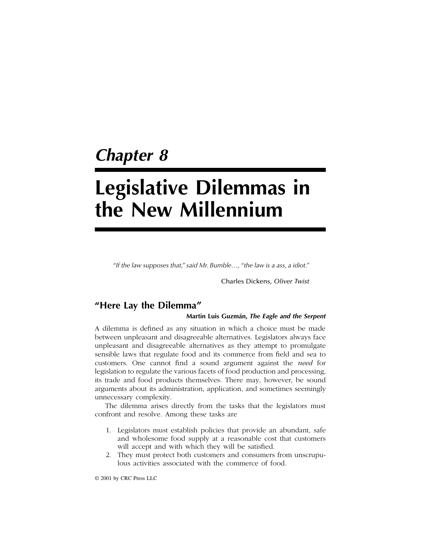## *Chapter 8*

# **Legislative Dilemmas in the New Millennium**

 *"If the law supposes that," said Mr. Bumble…, "the law is a ass, a idiot."*

Charles Dickens, *Oliver Twist*

## **"Here Lay the Dilemma"**

#### **Martin Luis Guzmán,** *The Eagle and the Serpent*

A dilemma is defined as any situation in which a choice must be made between unpleasant and disagreeable alternatives. Legislators always face unpleasant and disagreeable alternatives as they attempt to promulgate sensible laws that regulate food and its commerce from field and sea to customers. One cannot find a sound argument against the *need* for legislation to regulate the various facets of food production and processing, its trade and food products themselves. There may, however, be sound arguments about its administration, application, and sometimes seemingly unnecessary complexity.

The dilemma arises directly from the tasks that the legislators must confront and resolve. Among these tasks are

- 1. Legislators must establish policies that provide an abundant, safe and wholesome food supply at a reasonable cost that customers will accept and with which they will be satisfied.
- 2. They must protect both customers and consumers from unscrupulous activities associated with the commerce of food.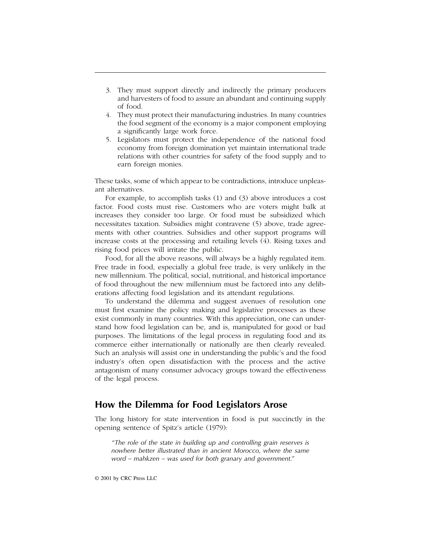- 3. They must support directly and indirectly the primary producers and harvesters of food to assure an abundant and continuing supply of food.
- 4. They must protect their manufacturing industries. In many countries the food segment of the economy is a major component employing a significantly large work force.
- 5. Legislators must protect the independence of the national food economy from foreign domination yet maintain international trade relations with other countries for safety of the food supply and to earn foreign monies.

These tasks, some of which appear to be contradictions, introduce unpleasant alternatives.

For example, to accomplish tasks (1) and (3) above introduces a cost factor. Food costs must rise. Customers who are voters might balk at increases they consider too large. Or food must be subsidized which necessitates taxation. Subsidies might contravene (5) above, trade agreements with other countries. Subsidies and other support programs will increase costs at the processing and retailing levels (4). Rising taxes and rising food prices will irritate the public.

Food, for all the above reasons, will always be a highly regulated item. Free trade in food, especially a global free trade, is very unlikely in the new millennium. The political, social, nutritional, and historical importance of food throughout the new millennium must be factored into any deliberations affecting food legislation and its attendant regulations.

To understand the dilemma and suggest avenues of resolution one must first examine the policy making and legislative processes as these exist commonly in many countries. With this appreciation, one can understand how food legislation can be, and is, manipulated for good or bad purposes. The limitations of the legal process in regulating food and its commerce either internationally or nationally are then clearly revealed. Such an analysis will assist one in understanding the public's and the food industry's often open dissatisfaction with the process and the active antagonism of many consumer advocacy groups toward the effectiveness of the legal process.

## **How the Dilemma for Food Legislators Arose**

The long history for state intervention in food is put succinctly in the opening sentence of Spitz's article (1979):

*"The role of the state in building up and controlling grain reserves is nowhere better illustrated than in ancient Morocco, where the same word – mahkzen – was used for both granary and government."*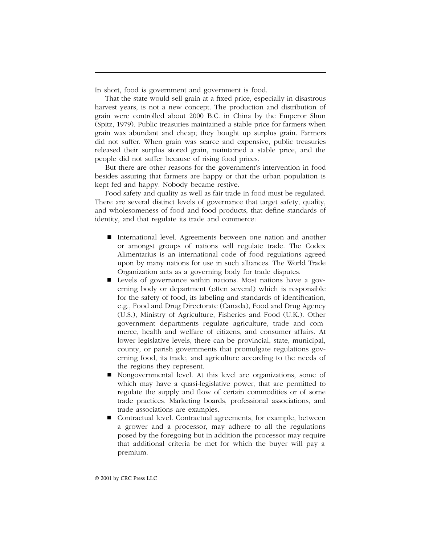In short, food is government and government is food.

That the state would sell grain at a fixed price, especially in disastrous harvest years, is not a new concept. The production and distribution of grain were controlled about 2000 B.C. in China by the Emperor Shun (Spitz, 1979). Public treasuries maintained a stable price for farmers when grain was abundant and cheap; they bought up surplus grain. Farmers did not suffer. When grain was scarce and expensive, public treasuries released their surplus stored grain, maintained a stable price, and the people did not suffer because of rising food prices.

But there are other reasons for the government's intervention in food besides assuring that farmers are happy or that the urban population is kept fed and happy. Nobody became restive.

Food safety and quality as well as fair trade in food must be regulated. There are several distinct levels of governance that target safety, quality, and wholesomeness of food and food products, that define standards of identity, and that regulate its trade and commerce:

- International level. Agreements between one nation and another or amongst groups of nations will regulate trade. The Codex Alimentarius is an international code of food regulations agreed upon by many nations for use in such alliances. The World Trade Organization acts as a governing body for trade disputes.
- **Levels** of governance within nations. Most nations have a governing body or department (often several) which is responsible for the safety of food, its labeling and standards of identification, e.g., Food and Drug Directorate (Canada), Food and Drug Agency (U.S.), Ministry of Agriculture, Fisheries and Food (U.K.). Other government departments regulate agriculture, trade and commerce, health and welfare of citizens, and consumer affairs. At lower legislative levels, there can be provincial, state, municipal, county, or parish governments that promulgate regulations governing food, its trade, and agriculture according to the needs of the regions they represent.
- Nongovernmental level. At this level are organizations, some of which may have a quasi-legislative power, that are permitted to regulate the supply and flow of certain commodities or of some trade practices. Marketing boards, professional associations, and trade associations are examples.
- Contractual level. Contractual agreements, for example, between a grower and a processor, may adhere to all the regulations posed by the foregoing but in addition the processor may require that additional criteria be met for which the buyer will pay a premium.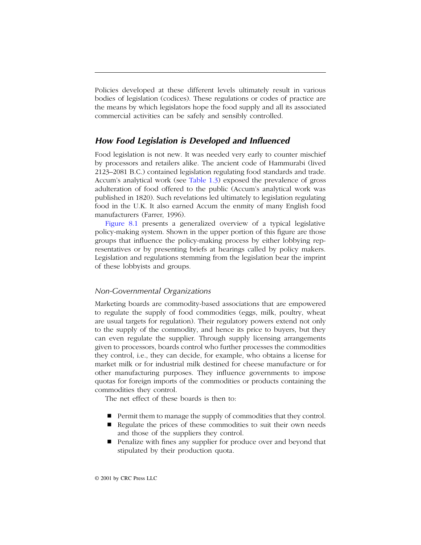Policies developed at these different levels ultimately result in various bodies of legislation (codices). These regulations or codes of practice are the means by which legislators hope the food supply and all its associated commercial activities can be safely and sensibly controlled.

## *How Food Legislation is Developed and Influenced*

Food legislation is not new. It was needed very early to counter mischief by processors and retailers alike. The ancient code of Hammurabi (lived 2123–2081 B.C.) contained legislation regulating food standards and trade. Accum's analytical work (see [Table 1.3\)](#page-13-0) exposed the prevalence of gross adulteration of food offered to the public (Accum's analytical work was published in 1820). Such revelations led ultimately to legislation regulating food in the U.K. It also earned Accum the enmity of many English food manufacturers (Farrer, 1996).

[Figure 8.1](#page-4-0) presents a generalized overview of a typical legislative policy-making system. Shown in the upper portion of this figure are those groups that influence the policy-making process by either lobbying representatives or by presenting briefs at hearings called by policy makers. Legislation and regulations stemming from the legislation bear the imprint of these lobbyists and groups.

#### *Non-Governmental Organizations*

Marketing boards are commodity-based associations that are empowered to regulate the supply of food commodities (eggs, milk, poultry, wheat are usual targets for regulation). Their regulatory powers extend not only to the supply of the commodity, and hence its price to buyers, but they can even regulate the supplier. Through supply licensing arrangements given to processors, boards control who further processes the commodities they control, i.e., they can decide, for example, who obtains a license for market milk or for industrial milk destined for cheese manufacture or for other manufacturing purposes. They influence governments to impose quotas for foreign imports of the commodities or products containing the commodities they control.

The net effect of these boards is then to:

- **Permit them to manage the supply of commodities that they control.**
- Regulate the prices of these commodities to suit their own needs and those of the suppliers they control.
- **Penalize with fines any supplier for produce over and beyond that** stipulated by their production quota.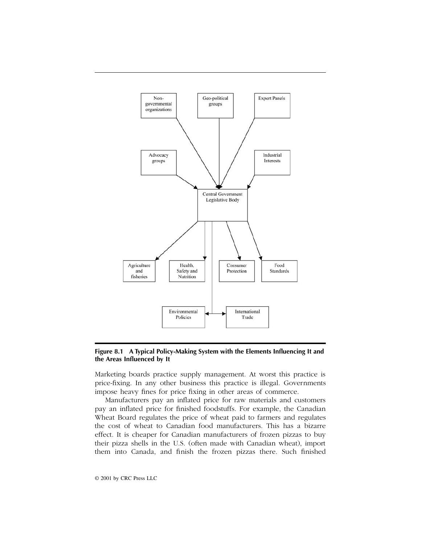<span id="page-4-0"></span>

#### **Figure 8.1 A Typical Policy-Making System with the Elements Influencing It and the Areas Influenced by It**

Marketing boards practice supply management. At worst this practice is price-fixing. In any other business this practice is illegal. Governments impose heavy fines for price fixing in other areas of commerce.

Manufacturers pay an inflated price for raw materials and customers pay an inflated price for finished foodstuffs. For example, the Canadian Wheat Board regulates the price of wheat paid to farmers and regulates the cost of wheat to Canadian food manufacturers. This has a bizarre effect. It is cheaper for Canadian manufacturers of frozen pizzas to buy their pizza shells in the U.S. (often made with Canadian wheat), import them into Canada, and finish the frozen pizzas there. Such finished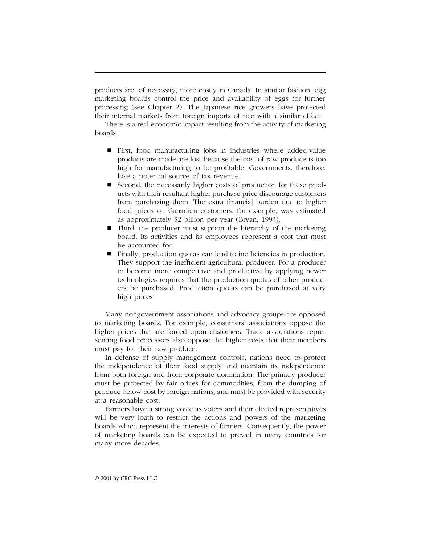products are, of necessity, more costly in Canada. In similar fashion, egg marketing boards control the price and availability of eggs for further processing (see Chapter 2). The Japanese rice growers have protected their internal markets from foreign imports of rice with a similar effect.

There is a real economic impact resulting from the activity of marketing boards.

- First, food manufacturing jobs in industries where added-value products are made are lost because the cost of raw produce is too high for manufacturing to be profitable. Governments, therefore, lose a potential source of tax revenue.
- Second, the necessarily higher costs of production for these products with their resultant higher purchase price discourage customers from purchasing them. The extra financial burden due to higher food prices on Canadian customers, for example, was estimated as approximately \$2 billion per year (Bryan, 1993).
- Third, the producer must support the hierarchy of the marketing board. Its activities and its employees represent a cost that must be accounted for.
- Finally, production quotas can lead to inefficiencies in production. They support the inefficient agricultural producer. For a producer to become more competitive and productive by applying newer technologies requires that the production quotas of other producers be purchased. Production quotas can be purchased at very high prices.

Many nongovernment associations and advocacy groups are opposed to marketing boards. For example, consumers' associations oppose the higher prices that are forced upon customers. Trade associations representing food processors also oppose the higher costs that their members must pay for their raw produce.

In defense of supply management controls, nations need to protect the independence of their food supply and maintain its independence from both foreign and from corporate domination. The primary producer must be protected by fair prices for commodities, from the dumping of produce below cost by foreign nations, and must be provided with security at a reasonable cost.

Farmers have a strong voice as voters and their elected representatives will be very loath to restrict the actions and powers of the marketing boards which represent the interests of farmers. Consequently, the power of marketing boards can be expected to prevail in many countries for many more decades.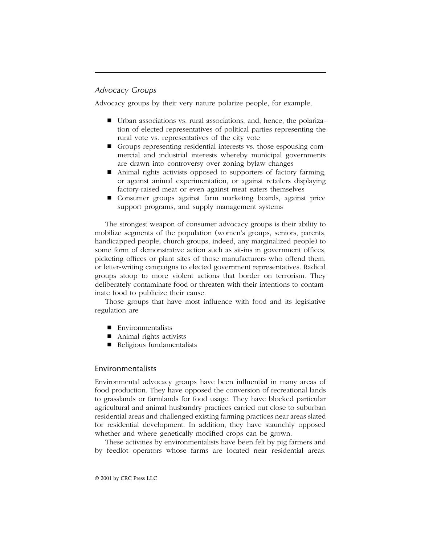## *Advocacy Groups*

Advocacy groups by their very nature polarize people, for example,

- Urban associations vs. rural associations, and, hence, the polarization of elected representatives of political parties representing the rural vote vs. representatives of the city vote
- Groups representing residential interests vs. those espousing commercial and industrial interests whereby municipal governments are drawn into controversy over zoning bylaw changes
- Animal rights activists opposed to supporters of factory farming, or against animal experimentation, or against retailers displaying factory-raised meat or even against meat eaters themselves
- Consumer groups against farm marketing boards, against price support programs, and supply management systems

The strongest weapon of consumer advocacy groups is their ability to mobilize segments of the population (women's groups, seniors, parents, handicapped people, church groups, indeed, any marginalized people) to some form of demonstrative action such as sit-ins in government offices, picketing offices or plant sites of those manufacturers who offend them, or letter-writing campaigns to elected government representatives. Radical groups stoop to more violent actions that border on terrorism. They deliberately contaminate food or threaten with their intentions to contaminate food to publicize their cause.

Those groups that have most influence with food and its legislative regulation are

- Environmentalists
- Animal rights activists
- Religious fundamentalists

#### Environmentalists

Environmental advocacy groups have been influential in many areas of food production. They have opposed the conversion of recreational lands to grasslands or farmlands for food usage. They have blocked particular agricultural and animal husbandry practices carried out close to suburban residential areas and challenged existing farming practices near areas slated for residential development. In addition, they have staunchly opposed whether and where genetically modified crops can be grown.

These activities by environmentalists have been felt by pig farmers and by feedlot operators whose farms are located near residential areas.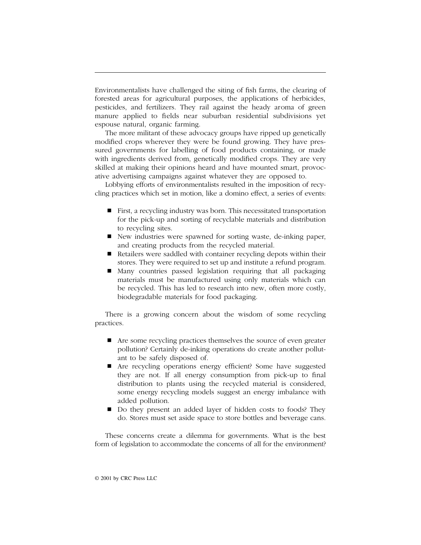Environmentalists have challenged the siting of fish farms, the clearing of forested areas for agricultural purposes, the applications of herbicides, pesticides, and fertilizers. They rail against the heady aroma of green manure applied to fields near suburban residential subdivisions yet espouse natural, organic farming.

The more militant of these advocacy groups have ripped up genetically modified crops wherever they were be found growing. They have pressured governments for labelling of food products containing, or made with ingredients derived from, genetically modified crops. They are very skilled at making their opinions heard and have mounted smart, provocative advertising campaigns against whatever they are opposed to.

Lobbying efforts of environmentalists resulted in the imposition of recycling practices which set in motion, like a domino effect, a series of events:

- First, a recycling industry was born. This necessitated transportation for the pick-up and sorting of recyclable materials and distribution to recycling sites.
- New industries were spawned for sorting waste, de-inking paper, and creating products from the recycled material.
- Retailers were saddled with container recycling depots within their stores. They were required to set up and institute a refund program.
- Many countries passed legislation requiring that all packaging materials must be manufactured using only materials which can be recycled. This has led to research into new, often more costly, biodegradable materials for food packaging.

There is a growing concern about the wisdom of some recycling practices.

- Are some recycling practices themselves the source of even greater pollution? Certainly de-inking operations do create another pollutant to be safely disposed of.
- Are recycling operations energy efficient? Some have suggested they are not. If all energy consumption from pick-up to final distribution to plants using the recycled material is considered, some energy recycling models suggest an energy imbalance with added pollution.
- Do they present an added layer of hidden costs to foods? They do. Stores must set aside space to store bottles and beverage cans.

These concerns create a dilemma for governments. What is the best form of legislation to accommodate the concerns of all for the environment?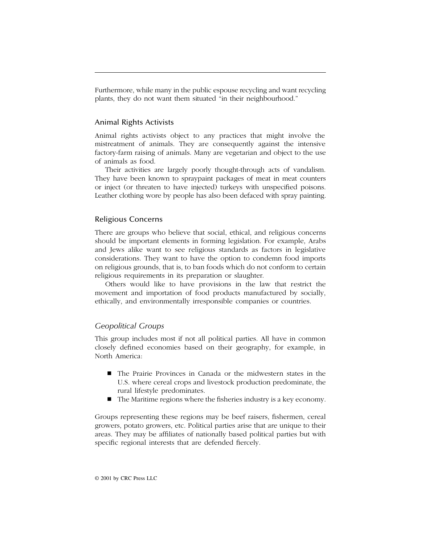Furthermore, while many in the public espouse recycling and want recycling plants, they do not want them situated "in their neighbourhood."

#### Animal Rights Activists

Animal rights activists object to any practices that might involve the mistreatment of animals. They are consequently against the intensive factory-farm raising of animals. Many are vegetarian and object to the use of animals as food.

Their activities are largely poorly thought-through acts of vandalism. They have been known to spraypaint packages of meat in meat counters or inject (or threaten to have injected) turkeys with unspecified poisons. Leather clothing wore by people has also been defaced with spray painting.

### Religious Concerns

There are groups who believe that social, ethical, and religious concerns should be important elements in forming legislation. For example, Arabs and Jews alike want to see religious standards as factors in legislative considerations. They want to have the option to condemn food imports on religious grounds, that is, to ban foods which do not conform to certain religious requirements in its preparation or slaughter.

Others would like to have provisions in the law that restrict the movement and importation of food products manufactured by socially, ethically, and environmentally irresponsible companies or countries.

#### *Geopolitical Groups*

This group includes most if not all political parties. All have in common closely defined economies based on their geography, for example, in North America:

- The Prairie Provinces in Canada or the midwestern states in the U.S. where cereal crops and livestock production predominate, the rural lifestyle predominates.
- $\blacksquare$  The Maritime regions where the fisheries industry is a key economy.

Groups representing these regions may be beef raisers, fishermen, cereal growers, potato growers, etc. Political parties arise that are unique to their areas. They may be affiliates of nationally based political parties but with specific regional interests that are defended fiercely.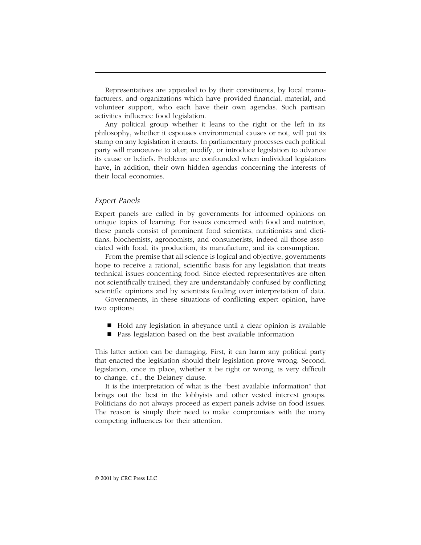Representatives are appealed to by their constituents, by local manufacturers, and organizations which have provided financial, material, and volunteer support, who each have their own agendas. Such partisan activities influence food legislation.

Any political group whether it leans to the right or the left in its philosophy, whether it espouses environmental causes or not, will put its stamp on any legislation it enacts. In parliamentary processes each political party will manoeuvre to alter, modify, or introduce legislation to advance its cause or beliefs. Problems are confounded when individual legislators have, in addition, their own hidden agendas concerning the interests of their local economies.

#### *Expert Panels*

Expert panels are called in by governments for informed opinions on unique topics of learning. For issues concerned with food and nutrition, these panels consist of prominent food scientists, nutritionists and dietitians, biochemists, agronomists, and consumerists, indeed all those associated with food, its production, its manufacture, and its consumption.

From the premise that all science is logical and objective, governments hope to receive a rational, scientific basis for any legislation that treats technical issues concerning food. Since elected representatives are often not scientifically trained, they are understandably confused by conflicting scientific opinions and by scientists feuding over interpretation of data.

Governments, in these situations of conflicting expert opinion, have two options:

- Hold any legislation in abeyance until a clear opinion is available
- Pass legislation based on the best available information

This latter action can be damaging. First, it can harm any political party that enacted the legislation should their legislation prove wrong. Second, legislation, once in place, whether it be right or wrong, is very difficult to change, c.f., the Delaney clause.

It is the interpretation of what is the "best available information" that brings out the best in the lobbyists and other vested interest groups. Politicians do not always proceed as expert panels advise on food issues. The reason is simply their need to make compromises with the many competing influences for their attention.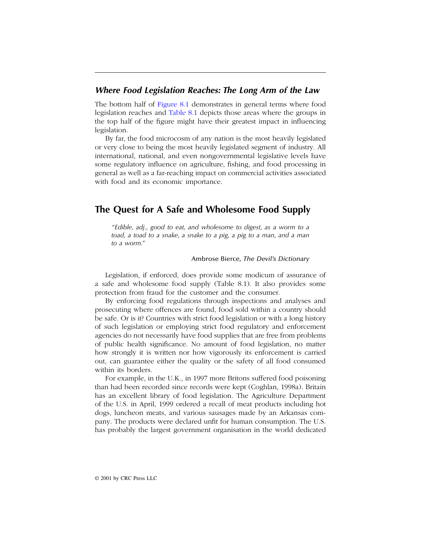#### *Where Food Legislation Reaches: The Long Arm of the Law*

The bottom half of [Figure 8.1](#page-4-0) demonstrates in general terms where food legislation reaches and [Table 8.1](#page-11-0) depicts those areas where the groups in the top half of the figure might have their greatest impact in influencing legislation.

By far, the food microcosm of any nation is the most heavily legislated or very close to being the most heavily legislated segment of industry. All international, national, and even nongovernmental legislative levels have some regulatory influence on agriculture, fishing, and food processing in general as well as a far-reaching impact on commercial activities associated with food and its economic importance.

## **The Quest for A Safe and Wholesome Food Supply**

*"Edible, adj., good to eat, and wholesome to digest, as a worm to a toad, a toad to a snake, a snake to a pig, a pig to a man, and a man to a worm."*

#### Ambrose Bierce, *The Devil's Dictionary*

Legislation, if enforced, does provide some modicum of assurance of a safe and wholesome food supply (Table 8.1). It also provides some protection from fraud for the customer and the consumer.

By enforcing food regulations through inspections and analyses and prosecuting where offences are found, food sold within a country should be safe. Or is it? Countries with strict food legislation or with a long history of such legislation or employing strict food regulatory and enforcement agencies do not necessarily have food supplies that are free from problems of public health significance. No amount of food legislation, no matter how strongly it is written nor how vigorously its enforcement is carried out, can guarantee either the quality or the safety of all food consumed within its borders.

For example, in the U.K., in 1997 more Britons suffered food poisoning than had been recorded since records were kept (Coghlan, 1998a). Britain has an excellent library of food legislation. The Agriculture Department of the U.S. in April, 1999 ordered a recall of meat products including hot dogs, luncheon meats, and various sausages made by an Arkansas company. The products were declared unfit for human consumption. The U.S. has probably the largest government organisation in the world dedicated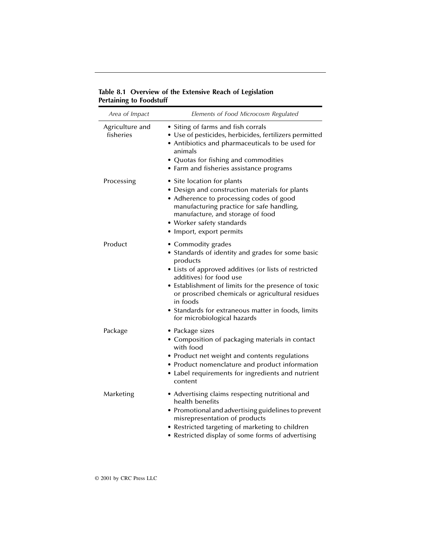| Area of Impact               | Elements of Food Microcosm Regulated                                                                                                                                                                                                                                                                                                                                                |
|------------------------------|-------------------------------------------------------------------------------------------------------------------------------------------------------------------------------------------------------------------------------------------------------------------------------------------------------------------------------------------------------------------------------------|
| Agriculture and<br>fisheries | • Siting of farms and fish corrals<br>• Use of pesticides, herbicides, fertilizers permitted<br>• Antibiotics and pharmaceuticals to be used for<br>animals<br>• Quotas for fishing and commodities<br>• Farm and fisheries assistance programs                                                                                                                                     |
| Processing                   | • Site location for plants<br>• Design and construction materials for plants<br>• Adherence to processing codes of good<br>manufacturing practice for safe handling,<br>manufacture, and storage of food<br>• Worker safety standards<br>• Import, export permits                                                                                                                   |
| Product                      | • Commodity grades<br>• Standards of identity and grades for some basic<br>products<br>• Lists of approved additives (or lists of restricted<br>additives) for food use<br>• Establishment of limits for the presence of toxic<br>or proscribed chemicals or agricultural residues<br>in foods<br>• Standards for extraneous matter in foods, limits<br>for microbiological hazards |
| Package                      | • Package sizes<br>• Composition of packaging materials in contact<br>with food<br>• Product net weight and contents regulations<br>• Product nomenclature and product information<br>• Label requirements for ingredients and nutrient<br>content                                                                                                                                  |
| Marketing                    | • Advertising claims respecting nutritional and<br>health benefits<br>· Promotional and advertising guidelines to prevent<br>misrepresentation of products<br>• Restricted targeting of marketing to children<br>• Restricted display of some forms of advertising                                                                                                                  |

## <span id="page-11-0"></span>**Table 8.1 Overview of the Extensive Reach of Legislation Pertaining to Foodstuff**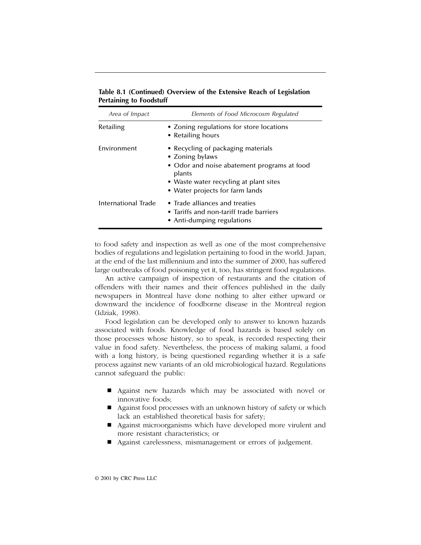| Area of Impact      | Elements of Food Microcosm Regulated                                                                                                                                                        |
|---------------------|---------------------------------------------------------------------------------------------------------------------------------------------------------------------------------------------|
| Retailing           | • Zoning regulations for store locations<br>• Retailing hours                                                                                                                               |
| Environment         | • Recycling of packaging materials<br>• Zoning bylaws<br>• Odor and noise abatement programs at food<br>plants<br>• Waste water recycling at plant sites<br>• Water projects for farm lands |
| International Trade | • Trade alliances and treaties<br>• Tariffs and non-tariff trade barriers<br>• Anti-dumping regulations                                                                                     |

#### **Table 8.1 (Continued) Overview of the Extensive Reach of Legislation Pertaining to Foodstuff**

to food safety and inspection as well as one of the most comprehensive bodies of regulations and legislation pertaining to food in the world. Japan, at the end of the last millennium and into the summer of 2000, has suffered large outbreaks of food poisoning yet it, too, has stringent food regulations.

An active campaign of inspection of restaurants and the citation of offenders with their names and their offences published in the daily newspapers in Montreal have done nothing to alter either upward or downward the incidence of foodborne disease in the Montreal region (Idziak, 1998).

Food legislation can be developed only to answer to known hazards associated with foods. Knowledge of food hazards is based solely on those processes whose history, so to speak, is recorded respecting their value in food safety. Nevertheless, the process of making salami, a food with a long history, is being questioned regarding whether it is a safe process against new variants of an old microbiological hazard. Regulations cannot safeguard the public:

- Against new hazards which may be associated with novel or innovative foods;
- Against food processes with an unknown history of safety or which lack an established theoretical basis for safety;
- Against microorganisms which have developed more virulent and more resistant characteristics; or
- Against carelessness, mismanagement or errors of judgement.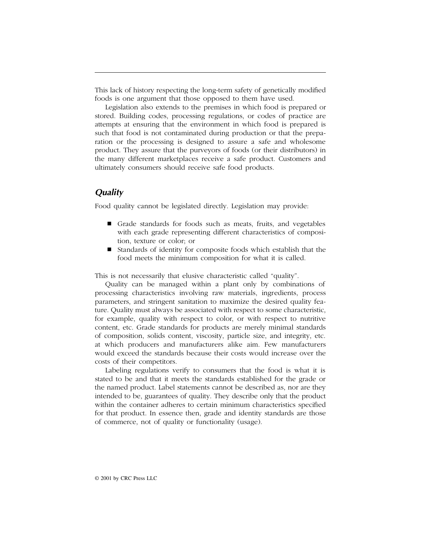<span id="page-13-0"></span>This lack of history respecting the long-term safety of genetically modified foods is one argument that those opposed to them have used.

Legislation also extends to the premises in which food is prepared or stored. Building codes, processing regulations, or codes of practice are attempts at ensuring that the environment in which food is prepared is such that food is not contaminated during production or that the preparation or the processing is designed to assure a safe and wholesome product. They assure that the purveyors of foods (or their distributors) in the many different marketplaces receive a safe product. Customers and ultimately consumers should receive safe food products.

## *Quality*

Food quality cannot be legislated directly. Legislation may provide:

- Grade standards for foods such as meats, fruits, and vegetables with each grade representing different characteristics of composition, texture or color; or
- Standards of identity for composite foods which establish that the food meets the minimum composition for what it is called.

This is not necessarily that elusive characteristic called "quality".

Quality can be managed within a plant only by combinations of processing characteristics involving raw materials, ingredients, process parameters, and stringent sanitation to maximize the desired quality feature. Quality must always be associated with respect to some characteristic, for example, quality with respect to color, or with respect to nutritive content, etc. Grade standards for products are merely minimal standards of composition, solids content, viscosity, particle size, and integrity, etc. at which producers and manufacturers alike aim. Few manufacturers would exceed the standards because their costs would increase over the costs of their competitors.

Labeling regulations verify to consumers that the food is what it is stated to be and that it meets the standards established for the grade or the named product. Label statements cannot be described as, nor are they intended to be, guarantees of quality. They describe only that the product within the container adheres to certain minimum characteristics specified for that product. In essence then, grade and identity standards are those of commerce, not of quality or functionality (usage).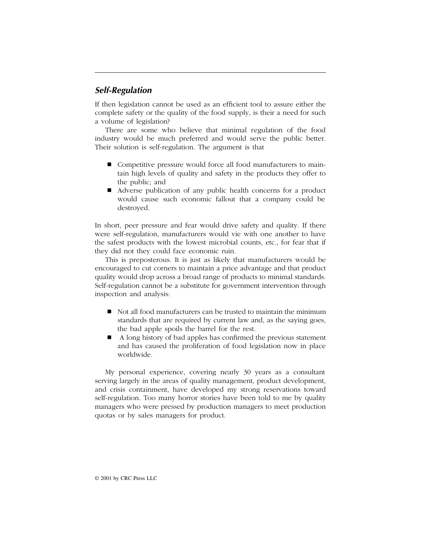## *Self-Regulation*

If then legislation cannot be used as an efficient tool to assure either the complete safety or the quality of the food supply, is their a need for such a volume of legislation?

There are some who believe that minimal regulation of the food industry would be much preferred and would serve the public better. Their solution is self-regulation. The argument is that

- Competitive pressure would force all food manufacturers to maintain high levels of quality and safety in the products they offer to the public; and
- Adverse publication of any public health concerns for a product would cause such economic fallout that a company could be destroyed.

In short, peer pressure and fear would drive safety and quality. If there were self-regulation, manufacturers would vie with one another to have the safest products with the lowest microbial counts, etc., for fear that if they did not they could face economic ruin.

This is preposterous. It is just as likely that manufacturers would be encouraged to cut corners to maintain a price advantage and that product quality would drop across a broad range of products to minimal standards. Self-regulation cannot be a substitute for government intervention through inspection and analysis:

- $\blacksquare$  Not all food manufacturers can be trusted to maintain the minimum standards that are required by current law and, as the saying goes, the bad apple spoils the barrel for the rest.
- A long history of bad apples has confirmed the previous statement and has caused the proliferation of food legislation now in place worldwide.

My personal experience, covering nearly 30 years as a consultant serving largely in the areas of quality management, product development, and crisis containment, have developed my strong reservations toward self-regulation. Too many horror stories have been told to me by quality managers who were pressed by production managers to meet production quotas or by sales managers for product.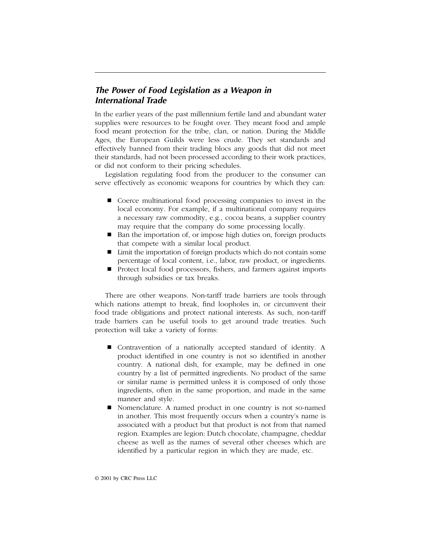## *The Power of Food Legislation as a Weapon in International Trade*

In the earlier years of the past millennium fertile land and abundant water supplies were resources to be fought over. They meant food and ample food meant protection for the tribe, clan, or nation. During the Middle Ages, the European Guilds were less crude. They set standards and effectively banned from their trading blocs any goods that did not meet their standards, had not been processed according to their work practices, or did not conform to their pricing schedules.

Legislation regulating food from the producer to the consumer can serve effectively as economic weapons for countries by which they can:

- Coerce multinational food processing companies to invest in the local economy. For example, if a multinational company requires a necessary raw commodity, e.g., cocoa beans, a supplier country may require that the company do some processing locally.
- Ban the importation of, or impose high duties on, foreign products that compete with a similar local product.
- Limit the importation of foreign products which do not contain some percentage of local content, i.e., labor, raw product, or ingredients.
- **Protect local food processors, fishers, and farmers against imports** through subsidies or tax breaks.

There are other weapons. Non-tariff trade barriers are tools through which nations attempt to break, find loopholes in, or circumvent their food trade obligations and protect national interests. As such, non-tariff trade barriers can be useful tools to get around trade treaties. Such protection will take a variety of forms:

- Contravention of a nationally accepted standard of identity. A product identified in one country is not so identified in another country. A national dish, for example, may be defined in one country by a list of permitted ingredients. No product of the same or similar name is permitted unless it is composed of only those ingredients, often in the same proportion, and made in the same manner and style.
- Nomenclature. A named product in one country is not so-named in another. This most frequently occurs when a country's name is associated with a product but that product is not from that named region. Examples are legion: Dutch chocolate, champagne, cheddar cheese as well as the names of several other cheeses which are identified by a particular region in which they are made, etc.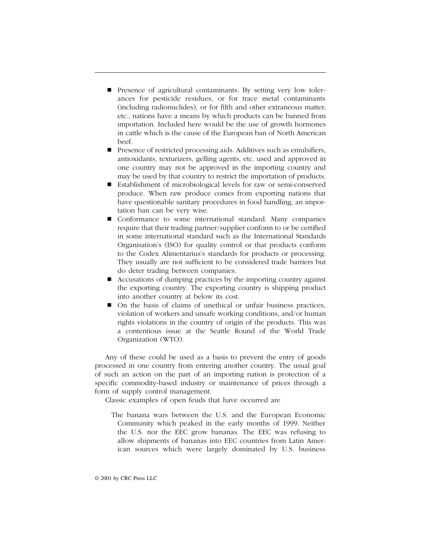- **Presence of agricultural contaminants. By setting very low toler**ances for pesticide residues, or for trace metal contaminants (including radionuclides), or for filth and other extraneous matter, etc., nations have a means by which products can be banned from importation. Included here would be the use of growth hormones in cattle which is the cause of the European ban of North American beef.
- **Presence of restricted processing aids. Additives such as emulsifiers,** antioxidants, texturizers, gelling agents, etc. used and approved in one country may not be approved in the importing country and may be used by that country to restrict the importation of products.
- Establishment of microbiological levels for raw or semi-conserved produce. When raw produce comes from exporting nations that have questionable sanitary procedures in food handling, an importation ban can be very wise.
- Conformance to some international standard. Many companies require that their trading partner/supplier conform to or be certified in some international standard such as the International Standards Organisation's (ISO) for quality control or that products conform to the Codex Alimentarius's standards for products or processing. They usually are not sufficient to be considered trade barriers but do deter trading between companies.
- Accusations of dumping practices by the importing country against the exporting country. The exporting country is shipping product into another country at below its cost.
- On the basis of claims of unethical or unfair business practices, violation of workers and unsafe working conditions, and/or human rights violations in the country of origin of the products. This was a contentious issue at the Seattle Round of the World Trade Organization (WTO).

Any of these could be used as a basis to prevent the entry of goods processed in one country from entering another country. The usual goal of such an action on the part of an importing nation is protection of a specific commodity-based industry or maintenance of prices through a form of supply control management.

Classic examples of open feuds that have occurred are

The banana wars between the U.S. and the European Economic Community which peaked in the early months of 1999. Neither the U.S. nor the EEC grow bananas. The EEC was refusing to allow shipments of bananas into EEC countries from Latin American sources which were largely dominated by U.S. business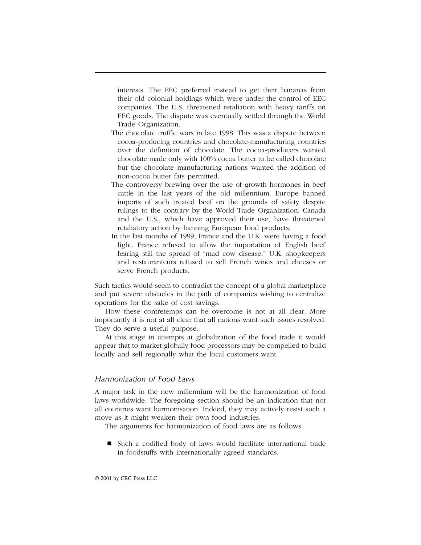interests. The EEC preferred instead to get their bananas from their old colonial holdings which were under the control of EEC companies. The U.S. threatened retaliation with heavy tariffs on EEC goods. The dispute was eventually settled through the World Trade Organization.

- The chocolate truffle wars in late 1998. This was a dispute between cocoa-producing countries and chocolate-manufacturing countries over the definition of chocolate. The cocoa-producers wanted chocolate made only with 100% cocoa butter to be called chocolate but the chocolate manufacturing nations wanted the addition of non-cocoa butter fats permitted.
- The controversy brewing over the use of growth hormones in beef cattle in the last years of the old millennium. Europe banned imports of such treated beef on the grounds of safety despite rulings to the contrary by the World Trade Organization. Canada and the U.S., which have approved their use, have threatened retaliatory action by banning European food products.
- In the last months of 1999, France and the U.K. were having a food fight. France refused to allow the importation of English beef fearing still the spread of "mad cow disease." U.K. shopkeepers and restauranteurs refused to sell French wines and cheeses or serve French products.

Such tactics would seem to contradict the concept of a global marketplace and put severe obstacles in the path of companies wishing to centralize operations for the sake of cost savings.

How these contretemps can be overcome is not at all clear. More importantly it is not at all clear that all nations want such issues resolved. They do serve a useful purpose.

At this stage in attempts at globalization of the food trade it would appear that to market globally food processors may be compelled to build locally and sell regionally what the local customers want.

#### *Harmonization of Food Laws*

A major task in the new millennium will be the harmonization of food laws worldwide. The foregoing section should be an indication that not all countries want harmonisation. Indeed, they may actively resist such a move as it might weaken their own food industries.

The arguments for harmonization of food laws are as follows:

■ Such a codified body of laws would facilitate international trade in foodstuffs with internationally agreed standards.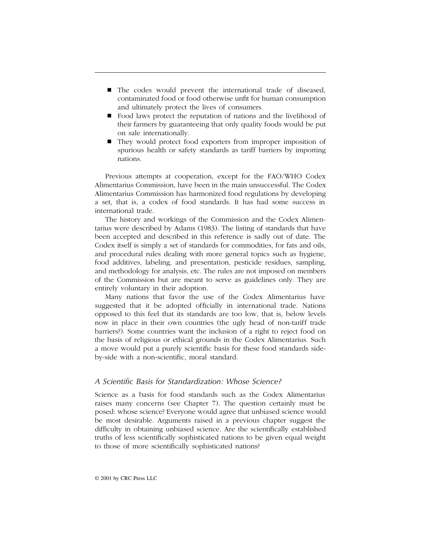- The codes would prevent the international trade of diseased, contaminated food or food otherwise unfit for human consumption and ultimately protect the lives of consumers.
- Food laws protect the reputation of nations and the livelihood of their farmers by guaranteeing that only quality foods would be put on sale internationally.
- They would protect food exporters from improper imposition of spurious health or safety standards as tariff barriers by importing nations.

Previous attempts at cooperation, except for the FAO/WHO Codex Alimentarius Commission, have been in the main unsuccessful. The Codex Alimentarius Commission has harmonized food regulations by developing a set, that is, a codex of food standards. It has had some success in international trade.

The history and workings of the Commission and the Codex Alimentarius were described by Adams (1983). The listing of standards that have been accepted and described in this reference is sadly out of date. The Codex itself is simply a set of standards for commodities, for fats and oils, and procedural rules dealing with more general topics such as hygiene, food additives, labeling, and presentation, pesticide residues, sampling, and methodology for analysis, etc. The rules are not imposed on members of the Commission but are meant to serve as guidelines only. They are entirely voluntary in their adoption.

Many nations that favor the use of the Codex Alimentarius have suggested that it be adopted officially in international trade. Nations opposed to this feel that its standards are too low, that is, below levels now in place in their own countries (the ugly head of non-tariff trade barriers?). Some countries want the inclusion of a right to reject food on the basis of religious or ethical grounds in the Codex Alimentarius. Such a move would put a purely scientific basis for these food standards sideby-side with a non-scientific, moral standard.

#### *A Scientific Basis for Standardization: Whose Science?*

Science as a basis for food standards such as the Codex Alimentarius raises many concerns (see Chapter 7). The question certainly must be posed: whose science? Everyone would agree that unbiased science would be most desirable. Arguments raised in a previous chapter suggest the difficulty in obtaining unbiased science. Are the scientifically established truths of less scientifically sophisticated nations to be given equal weight to those of more scientifically sophisticated nations?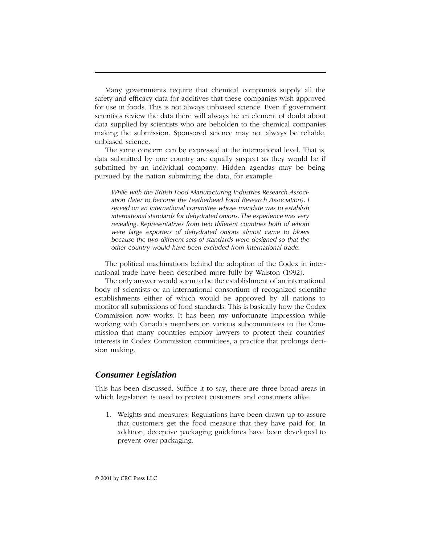Many governments require that chemical companies supply all the safety and efficacy data for additives that these companies wish approved for use in foods. This is not always unbiased science. Even if government scientists review the data there will always be an element of doubt about data supplied by scientists who are beholden to the chemical companies making the submission. Sponsored science may not always be reliable, unbiased science.

The same concern can be expressed at the international level. That is, data submitted by one country are equally suspect as they would be if submitted by an individual company. Hidden agendas may be being pursued by the nation submitting the data, for example:

*While with the British Food Manufacturing Industries Research Association (later to become the Leatherhead Food Research Association), I served on an international committee whose mandate was to establish international standards for dehydrated onions. The experience was very revealing. Representatives from two different countries both of whom were large exporters of dehydrated onions almost came to blows because the two different sets of standards were designed so that the other country would have been excluded from international trade.*

The political machinations behind the adoption of the Codex in international trade have been described more fully by Walston (1992).

The only answer would seem to be the establishment of an international body of scientists or an international consortium of recognized scientific establishments either of which would be approved by all nations to monitor all submissions of food standards. This is basically how the Codex Commission now works. It has been my unfortunate impression while working with Canada's members on various subcommittees to the Commission that many countries employ lawyers to protect their countries' interests in Codex Commission committees, a practice that prolongs decision making.

## *Consumer Legislation*

This has been discussed. Suffice it to say, there are three broad areas in which legislation is used to protect customers and consumers alike:

1. Weights and measures: Regulations have been drawn up to assure that customers get the food measure that they have paid for. In addition, deceptive packaging guidelines have been developed to prevent over-packaging.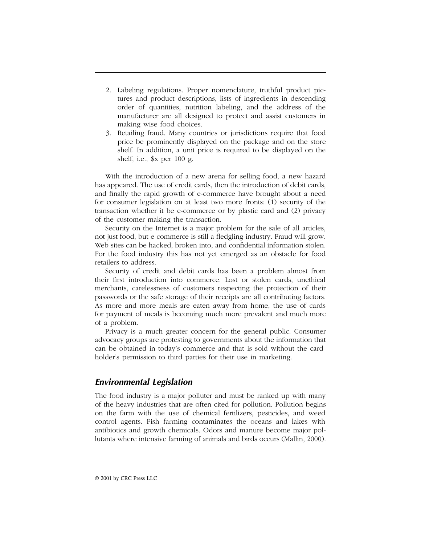- 2. Labeling regulations. Proper nomenclature, truthful product pictures and product descriptions, lists of ingredients in descending order of quantities, nutrition labeling, and the address of the manufacturer are all designed to protect and assist customers in making wise food choices.
- 3. Retailing fraud. Many countries or jurisdictions require that food price be prominently displayed on the package and on the store shelf. In addition, a unit price is required to be displayed on the shelf, i.e., \$x per 100 g.

With the introduction of a new arena for selling food, a new hazard has appeared. The use of credit cards, then the introduction of debit cards, and finally the rapid growth of e-commerce have brought about a need for consumer legislation on at least two more fronts: (1) security of the transaction whether it be e-commerce or by plastic card and (2) privacy of the customer making the transaction.

Security on the Internet is a major problem for the sale of all articles, not just food, but e-commerce is still a fledgling industry. Fraud will grow. Web sites can be hacked, broken into, and confidential information stolen. For the food industry this has not yet emerged as an obstacle for food retailers to address.

Security of credit and debit cards has been a problem almost from their first introduction into commerce. Lost or stolen cards, unethical merchants, carelessness of customers respecting the protection of their passwords or the safe storage of their receipts are all contributing factors. As more and more meals are eaten away from home, the use of cards for payment of meals is becoming much more prevalent and much more of a problem.

Privacy is a much greater concern for the general public. Consumer advocacy groups are protesting to governments about the information that can be obtained in today's commerce and that is sold without the cardholder's permission to third parties for their use in marketing.

## *Environmental Legislation*

The food industry is a major polluter and must be ranked up with many of the heavy industries that are often cited for pollution. Pollution begins on the farm with the use of chemical fertilizers, pesticides, and weed control agents. Fish farming contaminates the oceans and lakes with antibiotics and growth chemicals. Odors and manure become major pollutants where intensive farming of animals and birds occurs (Mallin, 2000).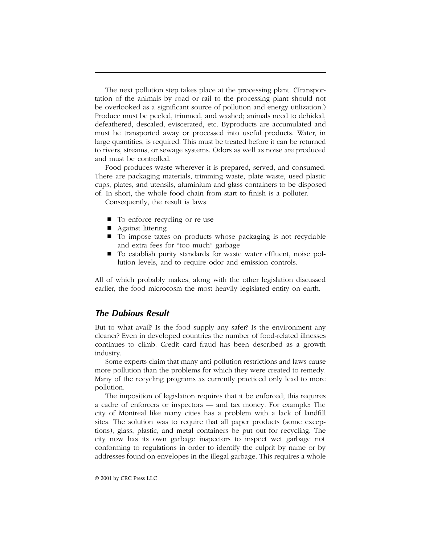The next pollution step takes place at the processing plant. (Transportation of the animals by road or rail to the processing plant should not be overlooked as a significant source of pollution and energy utilization.) Produce must be peeled, trimmed, and washed; animals need to dehided, defeathered, descaled, eviscerated, etc. Byproducts are accumulated and must be transported away or processed into useful products. Water, in large quantities, is required. This must be treated before it can be returned to rivers, streams, or sewage systems. Odors as well as noise are produced and must be controlled.

Food produces waste wherever it is prepared, served, and consumed. There are packaging materials, trimming waste, plate waste, used plastic cups, plates, and utensils, aluminium and glass containers to be disposed of. In short, the whole food chain from start to finish is a polluter.

Consequently, the result is laws:

- To enforce recycling or re-use
- Against littering
- To impose taxes on products whose packaging is not recyclable and extra fees for "too much" garbage
- To establish purity standards for waste water effluent, noise pollution levels, and to require odor and emission controls.

All of which probably makes, along with the other legislation discussed earlier, the food microcosm the most heavily legislated entity on earth.

## *The Dubious Result*

But to what avail? Is the food supply any safer? Is the environment any cleaner? Even in developed countries the number of food-related illnesses continues to climb. Credit card fraud has been described as a growth industry.

Some experts claim that many anti-pollution restrictions and laws cause more pollution than the problems for which they were created to remedy. Many of the recycling programs as currently practiced only lead to more pollution.

The imposition of legislation requires that it be enforced; this requires a cadre of enforcers or inspectors — and tax money. For example: The city of Montreal like many cities has a problem with a lack of landfill sites. The solution was to require that all paper products (some exceptions), glass, plastic, and metal containers be put out for recycling. The city now has its own garbage inspectors to inspect wet garbage not conforming to regulations in order to identify the culprit by name or by addresses found on envelopes in the illegal garbage. This requires a whole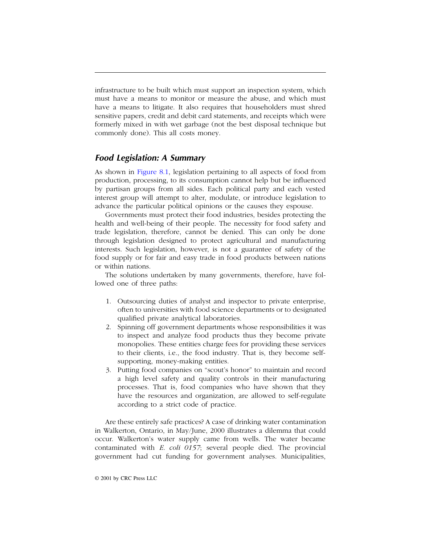infrastructure to be built which must support an inspection system, which must have a means to monitor or measure the abuse, and which must have a means to litigate. It also requires that householders must shred sensitive papers, credit and debit card statements, and receipts which were formerly mixed in with wet garbage (not the best disposal technique but commonly done). This all costs money.

## *Food Legislation: A Summary*

As shown in [Figure 8.1,](#page-4-0) legislation pertaining to all aspects of food from production, processing, to its consumption cannot help but be influenced by partisan groups from all sides. Each political party and each vested interest group will attempt to alter, modulate, or introduce legislation to advance the particular political opinions or the causes they espouse.

Governments must protect their food industries, besides protecting the health and well-being of their people. The necessity for food safety and trade legislation, therefore, cannot be denied. This can only be done through legislation designed to protect agricultural and manufacturing interests. Such legislation, however, is not a guarantee of safety of the food supply or for fair and easy trade in food products between nations or within nations.

The solutions undertaken by many governments, therefore, have followed one of three paths:

- 1. Outsourcing duties of analyst and inspector to private enterprise, often to universities with food science departments or to designated qualified private analytical laboratories.
- 2. Spinning off government departments whose responsibilities it was to inspect and analyze food products thus they become private monopolies. These entities charge fees for providing these services to their clients, i.e., the food industry. That is, they become selfsupporting, money-making entities.
- 3. Putting food companies on "scout's honor" to maintain and record a high level safety and quality controls in their manufacturing processes. That is, food companies who have shown that they have the resources and organization, are allowed to self-regulate according to a strict code of practice.

Are these entirely safe practices? A case of drinking water contamination in Walkerton, Ontario, in May/June, 2000 illustrates a dilemma that could occur. Walkerton's water supply came from wells. The water became contaminated with *E. coli 0157*; several people died. The provincial government had cut funding for government analyses. Municipalities,